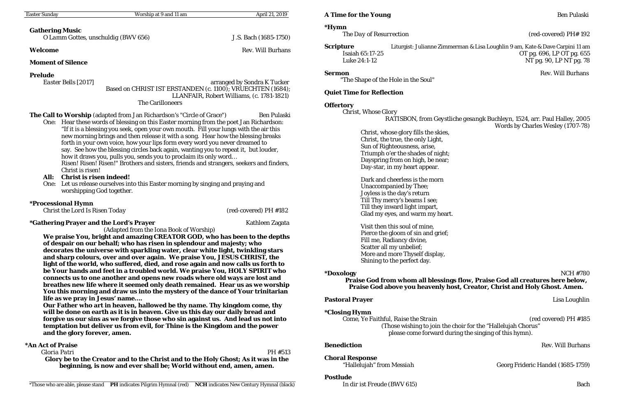| <b>Easter Sunday</b>                                                                                                                                                                                                                                                                                                                                                                                                                                                                                                                                                                                                                                                                                                                                                                                                                                                                                                                                                                                                                                                               | Worship at 9 and 11 am                                                                                       | April 21, 2019           | <b>A Time for the Young</b>                                                                                                                                                                                                                                                                                                                                                                                                                                                                                                                                                       |                                                                                                                                                               | <b>Ben Pulaski</b>                                                                                         |
|------------------------------------------------------------------------------------------------------------------------------------------------------------------------------------------------------------------------------------------------------------------------------------------------------------------------------------------------------------------------------------------------------------------------------------------------------------------------------------------------------------------------------------------------------------------------------------------------------------------------------------------------------------------------------------------------------------------------------------------------------------------------------------------------------------------------------------------------------------------------------------------------------------------------------------------------------------------------------------------------------------------------------------------------------------------------------------|--------------------------------------------------------------------------------------------------------------|--------------------------|-----------------------------------------------------------------------------------------------------------------------------------------------------------------------------------------------------------------------------------------------------------------------------------------------------------------------------------------------------------------------------------------------------------------------------------------------------------------------------------------------------------------------------------------------------------------------------------|---------------------------------------------------------------------------------------------------------------------------------------------------------------|------------------------------------------------------------------------------------------------------------|
|                                                                                                                                                                                                                                                                                                                                                                                                                                                                                                                                                                                                                                                                                                                                                                                                                                                                                                                                                                                                                                                                                    |                                                                                                              |                          | <i><b>*Hymn</b></i>                                                                                                                                                                                                                                                                                                                                                                                                                                                                                                                                                               |                                                                                                                                                               |                                                                                                            |
| <b>Gathering Music</b>                                                                                                                                                                                                                                                                                                                                                                                                                                                                                                                                                                                                                                                                                                                                                                                                                                                                                                                                                                                                                                                             | O Lamm Gottes, unschuldig (BWV 656)                                                                          | J.S. Bach (1685-1750)    | The Day of Resurrection                                                                                                                                                                                                                                                                                                                                                                                                                                                                                                                                                           |                                                                                                                                                               | (red-covered) PH# 192                                                                                      |
| Welcome                                                                                                                                                                                                                                                                                                                                                                                                                                                                                                                                                                                                                                                                                                                                                                                                                                                                                                                                                                                                                                                                            |                                                                                                              | <b>Rev. Will Burhans</b> | <b>Scripture</b><br>Isaiah 65:17-25                                                                                                                                                                                                                                                                                                                                                                                                                                                                                                                                               |                                                                                                                                                               | Liturgist: Julianne Zimmerman & Lisa Loughlin 9 am, Kate & Dave Carpini 11 am<br>OT pg. 696, LP OT pg. 655 |
| <b>Moment of Silence</b>                                                                                                                                                                                                                                                                                                                                                                                                                                                                                                                                                                                                                                                                                                                                                                                                                                                                                                                                                                                                                                                           |                                                                                                              |                          | Luke 24:1-12                                                                                                                                                                                                                                                                                                                                                                                                                                                                                                                                                                      |                                                                                                                                                               | NT pg. 90, LP NT pg. 78                                                                                    |
| <b>Prelude</b><br>arranged by Sondra K Tucker<br>Easter Bells [2017]<br>Based on CHRIST IST ERSTANDEN (c. 1100); VRUECHTEN (1684);<br>LLANFAIR, Robert Williams, (c. 1781-1821)<br><b>The Carilloneers</b><br><b>The Call to Worship</b> (adapted from Jan Richardson's "Circle of Grace")<br><b>Ben Pulaski</b><br>One: Hear these words of blessing on this Easter morning from the poet Jan Richardson:<br>"If it is a blessing you seek, open your own mouth. Fill your lungs with the air this<br>new morning brings and then release it with a song. Hear how the blessing breaks<br>forth in your own voice, how your lips form every word you never dreamed to<br>say. See how the blessing circles back again, wanting you to repeat it, but louder,<br>how it draws you, pulls you, sends you to proclaim its only word<br>Risen! Risen! Risen!" Brothers and sisters, friends and strangers, seekers and finders,<br>Christ is risen!<br>All:<br><b>Christ is risen indeed!</b><br>Let us release ourselves into this Easter morning by singing and praying and<br>One: |                                                                                                              |                          | <b>Sermon</b><br><b>Rev. Will Burhans</b><br>"The Shape of the Hole in the Soul"<br><b>Quiet Time for Reflection</b><br><b>Offertory</b><br><b>Christ, Whose Glory</b><br>RATISBON, from Geystliche gesangk Buchleyn, 1524, arr. Paul Halley, 2005<br>Words by Charles Wesley (1707-78)<br>Christ, whose glory fills the skies,<br>Christ, the true, the only Light,<br>Sun of Righteousness, arise,<br>Triumph o'er the shades of night;<br>Dayspring from on high, be near;<br>Day-star, in my heart appear.<br>Dark and cheerless is the morn<br><b>Unaccompanied by Thee;</b> |                                                                                                                                                               |                                                                                                            |
| <i><b>*Processional Hymn</b></i><br><b>Christ the Lord Is Risen Today</b>                                                                                                                                                                                                                                                                                                                                                                                                                                                                                                                                                                                                                                                                                                                                                                                                                                                                                                                                                                                                          | worshipping God together.                                                                                    | (red-covered) PH #182    |                                                                                                                                                                                                                                                                                                                                                                                                                                                                                                                                                                                   | Joyless is the day's return<br>Till Thy mercy's beams I see;<br>Till they inward light impart,<br>Glad my eyes, and warm my heart.                            |                                                                                                            |
| <i>*Gathering Prayer and the Lord's Prayer</i><br>Kathleen Zagata<br>(Adapted from the Iona Book of Worship)<br>We praise You, bright and amazing CREATOR GOD, who has been to the depths<br>of despair on our behalf; who has risen in splendour and majesty; who<br>decorates the universe with sparkling water, clear white light, twinkling stars<br>and sharp colours, over and over again. We praise You, JESUS CHRIST, the<br>light of the world, who suffered, died, and rose again and now calls us forth to<br>be Your hands and feet in a troubled world. We praise You, HOLY SPIRIT who<br>connects us to one another and opens new roads where old ways are lost and<br>breathes new life where it seemed only death remained. Hear us as we worship<br>You this morning and draw us into the mystery of the dance of Your trinitarian                                                                                                                                                                                                                                |                                                                                                              |                          | Visit then this soul of mine,<br>Pierce the gloom of sin and grief;<br>Fill me, Radiancy divine,<br>Scatter all my unbelief;<br>More and more Thyself display,<br>Shining to the perfect day.<br><b>NCH #780</b><br><i>*Doxology</i><br>Praise God from whom all blessings flow, Praise God all creatures here below,<br>Praise God above you heavenly host, Creator, Christ and Holy Ghost. Amen.                                                                                                                                                                                |                                                                                                                                                               |                                                                                                            |
| life as we pray in Jesus' name<br>Our Father who art in heaven, hallowed be thy name. Thy kingdom come, thy<br>will be done on earth as it is in heaven. Give us this day our daily bread and<br>forgive us our sins as we forgive those who sin against us. And lead us not into<br>temptation but deliver us from evil, for Thine is the Kingdom and the power<br>and the glory forever, amen.                                                                                                                                                                                                                                                                                                                                                                                                                                                                                                                                                                                                                                                                                   |                                                                                                              |                          | <b>Pastoral Prayer</b>                                                                                                                                                                                                                                                                                                                                                                                                                                                                                                                                                            |                                                                                                                                                               | Lisa Loughlin                                                                                              |
|                                                                                                                                                                                                                                                                                                                                                                                                                                                                                                                                                                                                                                                                                                                                                                                                                                                                                                                                                                                                                                                                                    |                                                                                                              |                          | <i><b>*Closing Hymn</b></i>                                                                                                                                                                                                                                                                                                                                                                                                                                                                                                                                                       | Come, Ye Faithful, Raise the Strain<br>(Those wishing to join the choir for the "Hallelujah Chorus")<br>please come forward during the singing of this hymn). | (red covered) PH #185                                                                                      |
| *An Act of Praise                                                                                                                                                                                                                                                                                                                                                                                                                                                                                                                                                                                                                                                                                                                                                                                                                                                                                                                                                                                                                                                                  |                                                                                                              |                          | <b>Benediction</b>                                                                                                                                                                                                                                                                                                                                                                                                                                                                                                                                                                |                                                                                                                                                               | <b>Rev. Will Burhans</b>                                                                                   |
| Gloria Patri<br>PH #513<br>Glory be to the Creator and to the Christ and to the Holy Ghost; As it was in the<br>beginning, is now and ever shall be; World without end, amen, amen.                                                                                                                                                                                                                                                                                                                                                                                                                                                                                                                                                                                                                                                                                                                                                                                                                                                                                                |                                                                                                              |                          | <b>Choral Response</b><br>"Hallelujah" from Messiah                                                                                                                                                                                                                                                                                                                                                                                                                                                                                                                               |                                                                                                                                                               | Georg Frideric Handel (1685-1759)                                                                          |
|                                                                                                                                                                                                                                                                                                                                                                                                                                                                                                                                                                                                                                                                                                                                                                                                                                                                                                                                                                                                                                                                                    | *Those who are able, please stand PH indicates Pilgrim Hymnal (red) NCH indicates New Century Hymnal (black) |                          | <b>Postlude</b><br>In dir ist Freude (BWV 615)                                                                                                                                                                                                                                                                                                                                                                                                                                                                                                                                    |                                                                                                                                                               | <b>Bach</b>                                                                                                |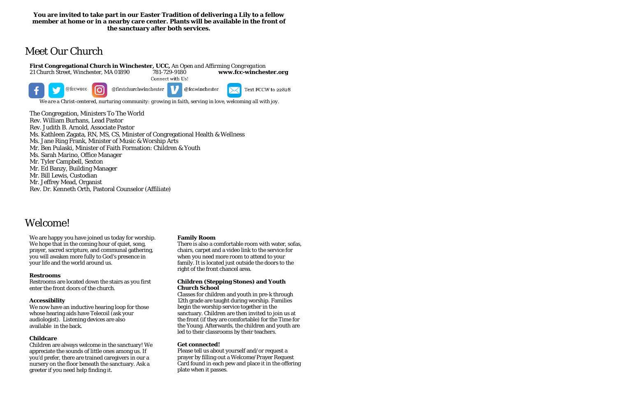## **You are invited to take part in our Easter Tradition of delivering a Lily to a fellow member at home or in a nearby care center. Plants will be available in the front of the sanctuary after both services.**

**First Congregational Church in Winchester, UCC,** *An Open and Affirming Congregation* 21 Church Street, Winchester, MA 01890 781-729-9180<br>Connect with Us!

# Meet Our Church



The Congregation, Ministers To The World Rev. William Burhans, Lead Pastor Rev. Judith B. Arnold, Associate Pastor Ms. Kathleen Zagata, RN, MS, CS, Minister of Congregational Health & Wellness Ms. Jane Ring Frank, Minister of Music & Worship Arts Mr. Ben Pulaski, Minister of Faith Formation: Children & Youth Ms. Sarah Marino, Office Manager Mr. Tyler Campbell, Sexton Mr. Ed Banzy, Building Manager Mr. Bill Lewis, Custodian Mr. Jeffrey Mead, Organist

Rev. Dr. Kenneth Orth, Pastoral Counselor (Affiliate)

# Welcome!

We are happy you have joined us today for worship. We hope that in the coming hour of quiet, song, prayer, sacred scripture, and communal gathering, you will awaken more fully to God's presence in your life and the world around us.

#### **Restrooms**

Restrooms are located down the stairs as you first enter the front doors of the church.

## **Accessibility**

We now have an inductive hearing loop for those whose hearing aids have Telecoil (ask your audiologist). Listening devices are also available in the back.

## **Childcare**

Children are always welcome in the sanctuary! We appreciate the sounds of little ones among us. If you'd prefer, there are trained caregivers in our a nursery on the floor beneath the sanctuary. Ask a greeter if you need help finding it.

#### **Family Room**

There is also a comfortable room with water, sofas, chairs, carpet and a video link to the service for when you need more room to attend to your family. It is located just outside the doors to the right of the front chancel area.

### **Children (Stepping Stones) and Youth Church School**

Classes for children and youth in pre-k through 12th grade are taught during worship. Families begin the worship service together in the sanctuary. Children are then invited to join us at the front (if they are comfortable) for the Time for the Young. Afterwards, the children and youth are led to their classrooms by their teachers.

#### **Get connected!**

Please tell us about yourself and/or request a prayer by filling out a Welcome/Prayer Request Card found in each pew and place it in the offering plate when it passes.